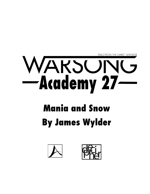

# Mania and Snow **By James Wylder**



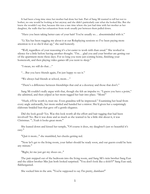It had been a long time since her mother had done her hair. Part of Sang Mi wanted to tell her not to bother, no one would be looking at her anyway and she didn't particularly care what she looked like. But she knew she wouldn't say that, because this was a rare time where she just had time with her mother as her daughter, the walls that her exhaustion from work usually put between them pulled down.

"Have you been taking better care of your hair? You're usually so… absentminded with it."

"Li Xiu has been nagging me about it at our Roleplaying sessions so I've been paying more attention to it so she'd shut up," she said honestly.

"Well, regardless of your reasoning it's a lot easier to work with than usual." She worked in silence for a little before having another thought. "I'm… glad you and your brother are getting out of the apartment more these days. For so long you were just coming home, finishing your homework, and then playing video games till you went to sleep."

"I mean, we still do that…"

"…But you have friends again, I'm just happy to see it."

"We always had friends at school, mom…"

"There's a difference between friendships that end at a doorway and those that don't."

Sang Mi couldn't really argue with that, though she felt an impulse to. "I guess you have a point," she admitted, and then yelped as her mom tugged her hair into place. "Mom!"

"Hush, it'll be worth it, trust me. Even grandma will be impressed." Examining her head from every angle awkwardly, her mom smiled and handed her a mirror. She'd given her a surprisingly elaborate braided bun that gave off a gentle elegance.

Did she look good? Yes. Was this look worth all the effort and hair tugging that had been involved? No. But it was done and as much as she wanted to be a little shit about it, it was Christmas. "...Yeah it looks great mom."

She leaned down and kissed her temple, "Of course it does, my daughter's just so beautiful it's easy."

"Quit it mom..." she mumbled, her cheeks getting red.

"Now let's get to the living room, your father should be ready soon, and our guests could be here any minute."

"Right, let me just get my shoes on..."

The pair stepped out of the bedroom into the living room, and Sang Mi's twin brother Sang Eun and the eldest brother Min Jun both looked surprised. "You don't look like a slob?!?" Sang Eun said, flabbergasted.

She socked him in the arm. "You're supposed to say I'm pretty, dumbass!"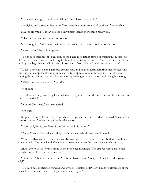"He is right though," the eldest child said. "You look presentable."

She sighed and turned to her mom, "You hear that mom, your hard work was 'presentable'."

Min Jun frowned, "I mean you look very pretty thanks to mother's hard work."

"Thanks!" she said with some sardonicism.

"Get along, kids," their mom said with the distinct air of being too tired for this today.

"Sorry, mom," they said together.

The door to their parent's bedroom opened, and their father came out wearing his nicest suit. He'd slept in, which was a nice luxury for him, but he still looked tired. That didn't stop him from putting on a big smile for all of them, "Look at all of you, I should have dressed up more."

"Dad!" They shot up and gathered around him, and he took turns admiring each of them and throwing out compliments; Min Jun managed to keep his stoicism through it all despite clearly wanting the attention. He ended his entrance by walking up to their mom and giving her a long kiss.

"Alright, are we ready to go?" he asked.

"Not quite--"

The doorbell rang, and Sang Eun pulled out his phone to see who was there on the camera, "Ah, speak of the devil."

"Not on Christmas," his sister tested.

"Oh hush."

It opened to reveal a trio, two of which were together, the third of which radiated "I just ran into them on the way" in her uncomfortable demeanor.

"Mom, dad, this is our friend Ryan Wilson, and his mom--"

"Anne Wilson," she said, extending a hand, which each of their parents shook.

""I'm Hei Ran, and this is my husband Kwang Sun. It's a pleasure to meet both of you. I hear you work with Feed the Stars? We used your resources when the twins here were born."

Anne, who was still 'Ryan's mom' in the twin's heads, smiled, "I'm glad we were able to help, though I wasn't here for that of course."

"Either way," Kwang Sun said, "we're glad to have you on Gongen. Now who is this young lady?"

The third person stepped forward and bowed, "Geraldine McGraw, I'm not a classmate of the twins, but I am their friend. It's a pleasure to meet... you."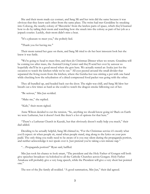She and their mom made eye contact, and Sang Mi and her twin did the same because it was obvious that they knew each other from the same place. The twins had met Geraldine by sneaking into Colocog, the nearby colony of 'Mavericks' from the lawless parts of space, which they'd learned how to do by tailing their mom and watching how she snuck into the colony as part of her job as a jetpack courier. Luckily, their mom didn't miss a beat.

"It's a pleasure to meet you," she politely lied.

"Thank you for having me."

Their mom turned her gaze on them, and Sang Mi tried to do her best innocent look but she knew it was futile.

"We're going to head to mass first, and then do Christmas Dinner when we return. Grandma will be coming too after mass, the Assisted Living Center said they'll send her over by autocar so hopefully she'll be in a good mood when she gets here. We actually rented an Asuka just for the occasion to watch the kitchen while we're out." All eyes peered around the small divider that separated the living room from the kitchen, where the Geisha-bot was stirring a pot with one hand while checking how the rehydration of a dried compressed food packet was going with the other.

They all bundled up, and headed back out the door. The night was chill, and Sang Mi blew her breath out a few times as hard as she could to watch the dragon smoke billowing out of her.

"Be serious," Min Jun scolded.

"Make me," she replied.

"Kids," their mom sighed.

Anne Wilson decided to cut the tension, "So, anything we should know going in? Back on Earth we were Lutheran, but it doesn't look like there's a lot of options for that here."

"There's a Lutheran Church in Kazuki, but that obviously doesn't really help you much," their dad added.

Deciding to be actually helpful, Sang Mi chimed in, "For the Christmas service it's mostly what you'd expect: sit when people sit, stand when people stand, sing along to the lyrics on your pew padd. The only thing you really need to be aware of is you stay silent during the propaganda portion, and neither acknowledge it nor speak over it. Just pretend you're taking a ten minute nap."

"…Propaganda portion?" Ryan said, baffled.

Min Jun took his chance to look smart, "The president and the Holy Father of Gongen will both give speeches broadcast via holofeed to all the Catholic Churches across Gongen. Holy Father Amakusa will probably give a very long speech, while the President will give a very short but pointed one."

The rest of the Jhe family all nodded. "A good summation, Min Jun," their dad agreed.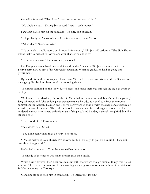Geraldine frowned, "That doesn't seem very cash money of him."

"No uh, it is not…" Kwang Sun paused, "very… cash money."

Sang Eun patted him on the shoulder. "It's fine, don't push it."

"It'll probably be Amakusa's final Christmas speech," Sang Mi noted.

"Why's that?" Geraldine asked.

"It's basically a public secret, but I know it for certain," Min Jun said seriously. "The Holy Father will be lucky to make it to Easter, and even that seems unlikely."

"How do you know?" the Maverick questioned.

Hei Ran put a gentle hand on Geraldine's shoulder, "Our son Min Jun is an intern with the Tenryu party now as part of his University education. When he graduates, he'll be going into government."

Ryan and his mother exchanged a look. Sang Mi could tell it was surprising to them. She was sure she'd get grilled by Ryan later on all the annoying details.

The group stomped up the snow-dusted steps, and made their way through the big oak doors at the top.

"Welcome to St. Martha's, it's not the big Cathedral in Cheonsa central, but it's our local parish," Sang Mi introduced. The building was architecturally a bit odd, as it tried to mirror the smooth minimalism the Atarashi Hajmari and Tenryu Party were so fond of with the shape and structure of an old style steepled church. The end result looked something like a video game model that had rendered without its textures, with wide slats of single-colored building material. Sang Mi didn't like the look of it.

"It's… kind of…" Ryan mumbled.

"Beautiful?" Sang Mi said.

"You don't really think that, do you?" he replied.

"Does it matter, it's our church. I'm allowed to think it's ugly, to you it's beautiful. That's just how these things work."

He looked a little put off, but he accepted her declaration.

The inside of the church was much prettier than the outside.

While clearly different than Ryan was familiar with, there were enough familiar things that he felt at home. There were the stations of the cross, big stained-glass windows, and a large stone statue of St. Martha taming the Tarrasque.

Geraldine stopped with him in front of it. "It's interesting, isn't it."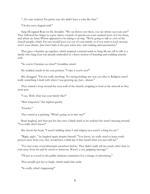"...It's sure stylized. I'm pretty sure she didn't have a robe like that."

"Or the cross shaped staff."

Sang Mi tapped Ryan on the shoulder. "We sat down over there, you see where our coats are?" They followed her finger to a pew where a bunch of spread-out coats marked most of it for them, and where an Anne Wilson appeared to be taking a cat nap. "We're going to talk to a lot of the church people, which I'm sure would bore you out of your minds, so if you want to look around, now's your chance. Just meet back at the pew when they start making announcements."

They gave a thumbs up together, which inspired a mutual smirk as Sang Mi ran off to talk to a family who Sang Eun was already embroiled in a fierce session of listening and nodding intently with.

"So you're Christian too then?" Geraldine asked.

He nodded, hands in his coat pockets. "I take it you're not?"

She shrugged. "I'm not really anything. No strong feelings any way you slice it. Religion wasn't really something I dealt with when I was growing up. Just... absent."

They started a loop around the west wall of the church, stopping to look at the artwork as they went past.

"I see. Well, what was your family like?"

"Best forgotten," she replied quickly.

"Gotcha."

They stared at a painting. "What's going on in this one?"

Ryan laughed, and then put his face into a blank mask as he realized she wasn't messing around. "You really don't know?"

She shook her head, "I wasn't kidding when I said religion just wasn't a thing for me."

"Right, right..." he laughed again despite himself. "You know, we really need to keep youth pastors away from you, they would have a field day if they heard what you just told me."

"I've met some overenthusiastic preachers before. They didn't really tell me much other than to turn away from sin and be saved or whatever. Wasn't a very gripping message."

"I'll put in a word to the public relations committee for a change of advertising."

That actually got her to laugh, which made him smile.

"So really, what's happening?"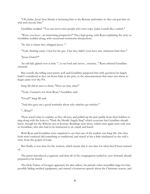"Oh, Judas, Jesus' best friend, is betraying him to the Roman authorities so they can put him on trial and execute him."

Geraldine nodded. "You can never trust people who trust cops. Judas sounds like a snitch."

"Wow, you have... an interesting perspective!" They kept going, with Ryan explaining the story as Geraldine nodded along, with occasional worrisome interjections.

"So this is where they whipped Jesus--"

"Yeah, fricking sucks. I feel for the guy. I bet they didn't even have nice ointment back then."

"Jesus Christ!?!"

An old lady glared over at him. "...is our lord and savior... etcetera..." Ryan ushered Geraldine onwards.

But overall, the telling went pretty well and Geraldine peppered him with questions he largely hadn't considered as they sat down back in the pew, as the announcement that mass was about to begin came over the PA.

Sang Mi slid in next to them, "Have an okay time?"

"Yeah, I learned a lot from Ryan," Geraldine said.

"Good!" Sang Mi said.

"And also gave me a good reminder about why snitches get stitches."

"...What?"

There wasn't time to explain, as they all rose, and pulled up the pew padds from their holders to sing along with the lyrics to "Hark the Herald Angels Sing" which everyone but Geraldine already knew, though for the Wilsons not in Korean. Readings were done, which once again were only new to Geraldine, who also had to be instructed to sit, stand, and kneel.

Both Ryan and Geraldine were surprised to see that one of the readers was Sang Mi, who they both were confused did something so traditional, and stared at her a little slackjawed as she told a story from the gospel of Luke.

But finally, it was time for the sermon, which meant that it was time for what they'd been warned of.

The priest introduced a segment, and then all of the congregation settled in, eyes forward, already prepared to be bored.

The Holy Father of Gongen appeared, his skin sallow, his priestly robes incredibly large for him, possibly hiding medical equipment, and started a boisterous speech about the Christmas season, and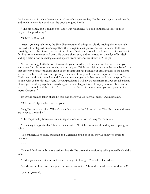the importance of their adherence to the laws of Gongen society. But he quickly got out of breath, and much quieter. It was obvious he wasn't in good health.

"The old generation is fading out," Sang Eun whispered. "I don't think it'll be long till they they've all slipped away."

"Shh!" Hei Ran said.

After a grueling half hour, the Holy Father wrapped things up, clearly leaving his sermon half finished with a slapped-on ending. Then the hologram changed to another old man. Healthier, certainly, but . . . he didn't look well either. It was President Sato, who had been in office so long it felt like no one else ever had been. He wore a sharp suit, and was seated on the edge of his desk, adding a false air of this being a casual speech from just another citizen of Gongen.

"Good evening, Catholics of Gongen. As your president, it has been my pleasure to join you every year for this important holiday in your religion. While we might not share the same beliefs, it's that diversity of belief that has given us the insight that has pushed our great society to the heights we have reached. But this year especially, the unity of our people is more important than ever. Christmas is a time for families and friends to come together in harmony, and that is a spirit I hope to take with us into this new year. As your president, I will always remember that we are all citizens of Gongen, working together towards a glorious and happy future. I hope you remember this as well. So, let myself and the entire Tenryu Party and Atarashi Hajimari wish you and your families merry Christmas."

Everyone seemed taken aback by this, and there was a lot of whispering and mumbling.

"What is it?" Ryan asked, well, anyone.

Sang Eun answered first. "There's something up we don't know about. The Christmas addresses are never so... friendly."

"There's probably been a setback in negotiations with Earth," Sang Mi muttered.

"Don't say things like that," her mother scolded. "It's Christmas, we should try to keep in good spirits.

The children all nodded, but Ryan and Geraldine could both tell they all knew too much to believe it.

\* \* \*

The walk back was a bit more serious, but Mr. Jhe broke the tension by telling incredibly bad dad jokes.

"Did anyone ever test your mettle since you got to Gongen?" he asked Geraldine.

She shook her head, and he tapped her metal arm twice. "Hmn, the metal seems good to me!"

They all groaned.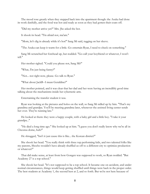The mood rose greatly when they stepped back into the apartment though: the Asuka had done its work dutifully, and the food was hot and ready as soon as they had gotten their coats off.

"Did my mother arrive yet?" Mrs. Jhe asked the bot.

It shook its head. "I'm afraid not, ma'am."

"Mom, let's dig in already while it's hot!" Sang Mi said, tugging on her sleeve.

"The Asuka can keep it warm for a little. Go entertain Ryan, I need to check on something."

Sang Mi scrunched her forehead up, but nodded. "Go call your boyfriend or whatever, I won't tell."

Her mother sighed. "Could you please not, Sang Mi?"

"What, I'm just being funny?"

"Not... not right now, please. Go talk to Ryan."

"What about JackB--I mean Geraldine?"

Her mother pointed, and it was clear that her dad and her were having an incredibly good time talking about the mechanisms inside her cybernetic arm.

Entertaining the transfer student it was.

Ryan was looking at the pictures and holos on the wall, so Sang Mi sidled up by him. "That's my grandma and grandpa. You'll be meeting grandma later, whenever the assisted living center sends her over. They're running late."

He looked at them: they were a happy couple, with a baby girl and a little boy. "I take it your grandpa..."

"He died a long time ago." She looked up at him. "I guess you don't really know why we're all in Cheonsa dome, huh?"

He shrugged, "Isn't it just cause this is like... the Korean district?"

She shook her head. "You really think with three top performing kids, and two talented folks like my parents, Shocho wouldn't have already shuffled us off to a different city to optimize production or whatever?"

That did make sense, at least from how Gongen was supposed to work, so Ryan nodded. "But Academy 27 is a top school."

She shook her head. "It's not supposed to be a top school. It became one on accident, and under normal circumstances, things would keep getting shuffled until things were back in the proper order. The best students at Academy 1, the second best at 2, and so forth. But we're not here because of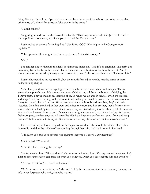things like that. Sure, lots of people have moved here because of the school, but we're poorer than other parts of Takumi for a reason. The cruelty is the point."

"I don't follow."

Sang Mi gestured back at the holo of the family. "That's my mom's dad, Kim Ji Ho. He tried to start a political movement, a political party to rival the Tenryu party."

Ryan looked at the man's smiling face. "Was it pro-CGC? Wanting to make Gongen more capitalist?"

"The opposite. He thought the Tenryu party wasn't Marxist enough."

"Oh."

She ran her fingers through the light, breaking the image up. "It didn't do anything. The party got broken up by moles from the inside. His brother was found beaten to death in the street. And he was arrested on trumped up charges, and thrown in prison." She lowered her hand. "He never left."

Ryan's shocked face moved rapidly, but the mouth formed no words, just the starts of them failing into lip shapes.

"It's okay, you don't need to apologize or tell me how bad it was. We're still living it. This is generational punishment. My parents, and their children, us, still bear the burden of defying the Tenryu party. They're making an example of us. So when we do well in school, when we succeed and keep Academy 27 doing well... we're not just making our families proud, but our ancestors too. Every frustrated glance from an official, every red-faced school board member, they're all little victories. Grandma survived on her own, and raised my mom and her brother, then after my uncle was crushed in a loading machine accident, or so they say, raised only mom. I think a lot of the other kids don't understand how me and Talinata keep our grades so good, what they don't get is that we feel more pressure than anyone. All three Jhe kids have been top performers, even if me and Sang Eun can't hold a candle to Min Jun. We have to be that way. Because we can't let anyone down."

He stared at her, and as it dragged on she began to wonder if she should break the silence, but thankfully he did in the middle of her running through her third bad ice-breaker in her head.

"I thought you said your brother was trying to become a Tenryu Party member?"

She nodded. "What of it?"

"Isn't that like... joining the enemy?"

She frowned at him. "Victory doesn't always mean winning, Ryan. Victory can just mean survival. That another generation can carry on what you believed. Don't you dare belittle Min Jun when he-"

"I'm not, I just don't... I don't understand."

"We're all very proud of Min Jun," she said. "He's the best of us. A stick in the mud, for sure, but he's never forgotten who he is, and who we are."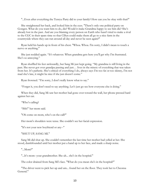"...Even after everything the Tenryu Party did to your family? How can you be okay with that?"

She straightened her back, and looked him in the eyes. "There's only one political party on Gongen. What do you want him to do, die? Would it make Grandma happy to see him die? She's already lost in the past. And are you blaming every person on Earth who hasn't tried to make a rival to the CGC in their spare time so that CISyn could make them all go to a nice farm in the countryside where they can run around all day and never be seen again?"

Ryan held his hands up in front of his chest. "Whoa. Whoa. I'm sorry, I didn't mean to touch a nerve or anything."

She just nodded again. "It's whatever. When grandma gets here you'll get why I'm frustrated. She's so annoying."

Ryan shuffled his feet awkwardly, but Sang Mi just kept going. "My grandma is still living in the past. She never got over grandpa passing and just… lives in the misery of everything that was taken from her. It's pathetic. She's critical of everything I do, always says I'm too fat or too skinny, I'm not mad she's late, it might be nice if she just doesn't come."

Ryan frowned. "I'm sorry, I don't really know what to say."

"Forget it, you don't need to say anything. Let's just go see how everyone else is doing."

When they did, Sang Mi saw her mother had gone over toward the wall, her phone pressed hard against her ear.

"Who's calling?

"Shh!" her mom said.

"Oh come on mom, who's on the call?"

Her mom's shoulders were tense. She couldn't see her facial expression.

"It's not your new boyfriend or any--"

"SHUT UP, SANG MI."

Sang Mi did shut up. She couldn't remember the last time her mother had yelled at her. She stood, dumbfounded until her mother put a hand up to her face, and made a sharp noise.

"...Mom?"

"...It's mom--your grandmother. She uh... she's in the hospital."

The color drained from Sang Mi's face. "What do you mean she's in the hospital?"

"The driver went to pick her up and um... found her on the floor. They took her to Cheonsa General."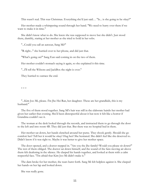This wasn't real. This was Christmas. Everything she'd just said… "Is... is she going to be okay?"

Her mother made a whimpering sound through her hand. "We need to hurry over there if we want to make it in time."

She didn't know what to do. She knew she was supposed to move but she didn't. Just stood there, dumbly, staring at her mother as she tried to hold in her sobs.

"...Could you call an autocar, Sang Mi?"

"R-right..." she hurried over to her phone, and did just that.

"What's going on?" Sang Eun said coming in on the two of them.

Her mother couldn't stomach saying it again, so she explained it this time.

"...I'll tell the Wilsons and JackBox the night is over."

They hurried to outrace the end.

\* \* \*

"...Kim Joo Mi, please. I'm Jhe Hei Ran, her daughter. These are her grandkids, this is my husband."

The five of them stood together. Sang Mi's hair was still in the elaborate hairdo her mother had given her earlier that evening. She'd been disrespectful about it but now it felt like a horror if Grandma couldn't see it.

The woman at the desk looked through the records, and instructed them to go through the door to the left and into room 4B. They did just that. But there was no hospital bed in there.

Her mother sat down, her hands clenched around her purse. They shook gently. Should she go comfort her? Tell her it would be okay? Hug her? She hesitated. She didn't feel like she deserved to. Didn't know if it was right to. Maybe it was better to give her mother space.

The door opened, and a doctor stepped in. "Are you the Jhe family? Would you please sit down?" The rest of them obliged. The doctor sat down himself, and the sound of the fans moving air above them felt deafening in the silence. He clasped his hands together, and looked at them with a calm respectful face. "I'm afraid that Kim Joo Mi didn't make it."

The dam broke for her mother, the tears burst forth. Sang Mi felt helpless against it. She clasped her hands on her lap and looked down.

She was really gone.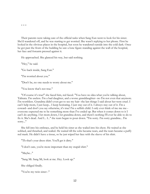\* \* \*

Their parents were taking care of the official tasks when Sang Eun went to look for his sister. She'd wandered off, and he was starting to get worried. She wasn't replying to her phone. First he looked in the obvious places in the hospital, but soon he wandered outside into the cold dark. Once he got past the front of the building he saw a lone figure standing against the wall of the hospital, her face and forearm pressed against it.

He approached. She glanced his way, but said nothing.

"Hey," he said.

"Go back inside, Sang Eun."

"I'm worried about you."

"Don't be, no one needs to worry about me."

"You know that's not true."

"Of course it's true!" she faced him, red faced. "You have no idea what you're talking about, Talinata. I'm useless. I'm a bad daughter, and a worse granddaughter--no I'm not even that anymore. I'm worthless. Grandma didn't even get to see my hair--the last things I said about her were cruel. I can't help mom, I just keep... I keep hesitating. I just stay out of it. I always stay out of it. I'm a coward--and don't you say otherwise, it's true! I'm a selfish child. I only ever think of me me me- everyone expected me to be something more than I've ended up. But when it comes down to it I can't do anything. I let mom down, I let grandma down, and there's nothing I'll ever be able to do to fix it. She's dead. And I... I..." the tears began to pour down. "I'm sorry. I'm sorry grandma... I'm sorry..."

She fell into his embrace, and he held his sister as she wailed into his chest. He waited as she sobbed, and thrashed, and wailed. He waited till the sobs became tears, and the tears became a puffy red mask. He didn't have a tissue, so he just wiped her face with the sleeve of his shirt.

"Th-that's your dress shirt. You'll get it dirty."

"I don't care, you're more important than my stupid shirt."

"Maybe..."

"Sang Mi. Sang Mi, look at me. Hey. Look up."

She obliged finally.

"You're my twin sister--"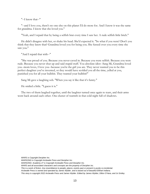"--I know that--"

"--and I love you, there's no one else on this planet I'd do more for. And I know it was the same for grandma. I know that she loved you."

"Yeah, and I repaid that by being a selfish brat every time I saw her. A rude selfish little bitch."

He didn't disagree with her, or shake his head. She'd expected it. "So what if you were? Don't you think that they knew that? Grandma loved you for being you. She fussed over you every time she saw you."

"And I repaid that with--"

"She was proud of you. Because you never caved in. Because you were selfish. Because you were rude. Because you never shut up and said stupid stuff. You absolute idiot--Sang Mi, Grandma loved you--mom loves, I love you--because you're the girl you are. They never wanted you to be this perfect daughter you've invented, or they would have scolded you all the time, yelled at you, punished you for all your bullshit. They wanted your bullshit!"

Sang Mi gave a laughing sob. "When you say it like that it's funny."

He smiled a little. "I guess it is."

The two of them laughed together, until the laughter turned once again to tears, and their arms went back around each other. One cluster of warmth in that cold night full of shadows.

*WARS is Copyright Decipher Inc.*

*WARSONG is Copyright Arcbeatle Press and Decipher Inc.*

*WARSONG: Academy 27 is Copyright Arcbeatle Press and Decipher Inc.*

*WARS and all associated characters and concepts are the property of Decipher inc.*

*This is a work of fiction. Any resemblance to people, places, events past or present is purely co-incidental.* 

*Arcbeatle Press is owned and operated by James Wylder, and is based out of beautiful Elkhart Indiana.*

*This story is copyright 2022 Arcbeatle Press and James Wylder. Edited by James Wylder, Dillon O'Hara, and Jo Smiley.*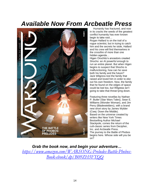### *Available Now From Arcbeatle Press*



Humanity has fractured, and now in its cracks the seeds of the greatest conflict humanity has ever known begin to take root…

Rogan Hallard is on the trail of a rogue scientist, but in trying to catch him and the secrets he stole, Hallard and his crew will find themselves in the crossfire of more than one hidden agenda…

Higen Orochito's ancestors created Shocho: an AI powerful enough to run an entire planet. But when Higen begins to suspect that Shocho is malfunctioning, how can he save both his family and the future? Jack Wilgress lost the family that raised and loved him in order to eke out his own freedom. Now, the family that he found on the edges of space could be lost too, but Wilgress isn't going to take that threat lying down.

Featuring three novellas by Nathan P. Butler (Star Wars Tales), Sean E. Williams (Wonder Woman), and Jim Perry (Bladewielders), with a brand new short story by James Wylder (Cwej: Down the Middle). Based on the universe created by writers like New York Times Bestselling Author Michael Stackpole, comes the return of the cult-classic series from Decipher, Inc. and Arcbeatle Press. The journey to the Battle of Phobos begins here. Whose side will you be on?

*Grab the book now, and begin your adventure… [https://www.amazon.com/WARSONG-Preludes-Battle-Phobos-](https://www.amazon.com/WARSONG-Preludes-Battle-Phobos-Book-ebook/dp/B09ZH5FTQQ)[Book-ebook/dp/B09ZH5FTQQ](https://www.amazon.com/WARSONG-Preludes-Battle-Phobos-Book-ebook/dp/B09ZH5FTQQ)*